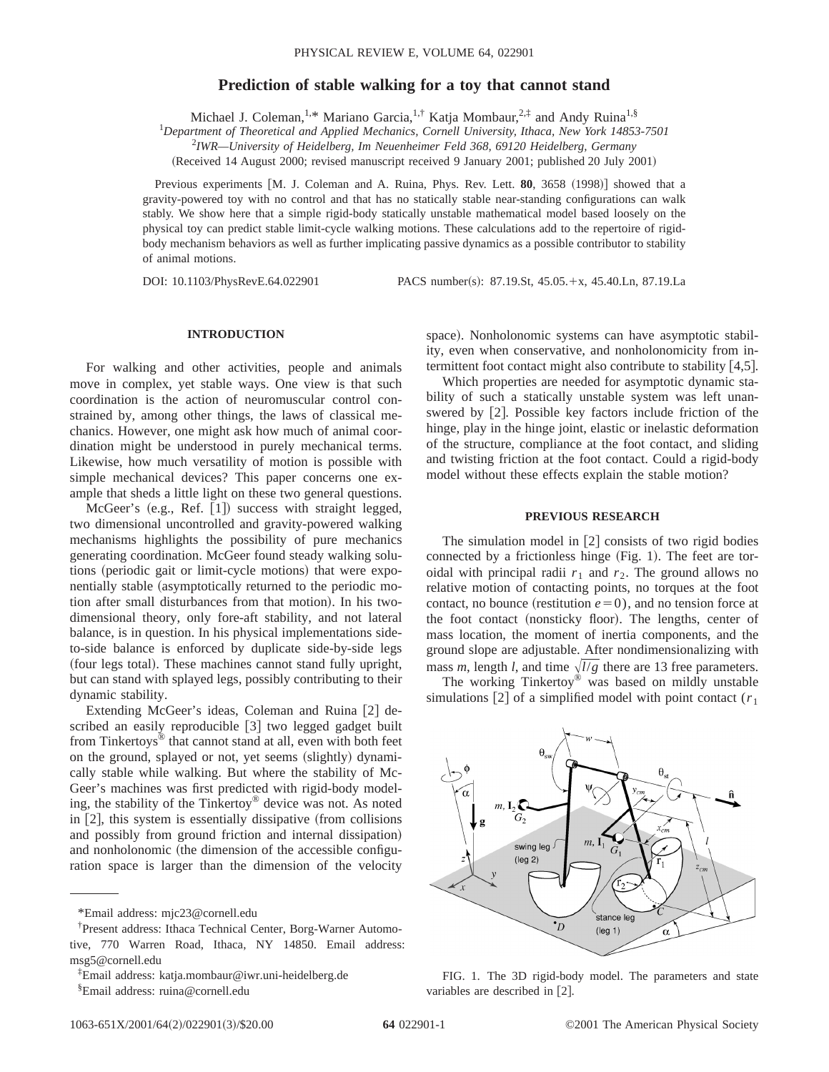# **Prediction of stable walking for a toy that cannot stand**

Michael J. Coleman,<sup>1,\*</sup> Mariano Garcia,<sup>1,†</sup> Katja Mombaur,<sup>2,‡</sup> and Andy Ruina<sup>1,§</sup>

1 *Department of Theoretical and Applied Mechanics, Cornell University, Ithaca, New York 14853-7501*

2 *IWR—University of Heidelberg, Im Neuenheimer Feld 368, 69120 Heidelberg, Germany*

(Received 14 August 2000; revised manuscript received 9 January 2001; published 20 July 2001)

Previous experiments [M. J. Coleman and A. Ruina, Phys. Rev. Lett. 80, 3658 (1998)] showed that a gravity-powered toy with no control and that has no statically stable near-standing configurations can walk stably. We show here that a simple rigid-body statically unstable mathematical model based loosely on the physical toy can predict stable limit-cycle walking motions. These calculations add to the repertoire of rigidbody mechanism behaviors as well as further implicating passive dynamics as a possible contributor to stability of animal motions.

DOI: 10.1103/PhysRevE.64.022901 PACS number(s): 87.19.St, 45.05.+x, 45.40.Ln, 87.19.La

## **INTRODUCTION**

For walking and other activities, people and animals move in complex, yet stable ways. One view is that such coordination is the action of neuromuscular control constrained by, among other things, the laws of classical mechanics. However, one might ask how much of animal coordination might be understood in purely mechanical terms. Likewise, how much versatility of motion is possible with simple mechanical devices? This paper concerns one example that sheds a little light on these two general questions.

McGeer's  $(e.g., Ref. [1])$  success with straight legged, two dimensional uncontrolled and gravity-powered walking mechanisms highlights the possibility of pure mechanics generating coordination. McGeer found steady walking solutions (periodic gait or limit-cycle motions) that were exponentially stable (asymptotically returned to the periodic motion after small disturbances from that motion). In his twodimensional theory, only fore-aft stability, and not lateral balance, is in question. In his physical implementations sideto-side balance is enforced by duplicate side-by-side legs (four legs total). These machines cannot stand fully upright, but can stand with splayed legs, possibly contributing to their dynamic stability.

Extending McGeer's ideas, Coleman and Ruina [2] described an easily reproducible [3] two legged gadget built from Tinkertoys® that cannot stand at all, even with both feet on the ground, splayed or not, yet seems (slightly) dynamically stable while walking. But where the stability of Mc-Geer's machines was first predicted with rigid-body modeling, the stability of the Tinkertoy® device was not. As noted in  $[2]$ , this system is essentially dissipative (from collisions and possibly from ground friction and internal dissipation) and nonholonomic (the dimension of the accessible configuration space is larger than the dimension of the velocity space). Nonholonomic systems can have asymptotic stability, even when conservative, and nonholonomicity from intermittent foot contact might also contribute to stability  $[4,5]$ .

Which properties are needed for asymptotic dynamic stability of such a statically unstable system was left unanswered by  $[2]$ . Possible key factors include friction of the hinge, play in the hinge joint, elastic or inelastic deformation of the structure, compliance at the foot contact, and sliding and twisting friction at the foot contact. Could a rigid-body model without these effects explain the stable motion?

## **PREVIOUS RESEARCH**

The simulation model in  $[2]$  consists of two rigid bodies connected by a frictionless hinge  $(Fig. 1)$ . The feet are toroidal with principal radii  $r_1$  and  $r_2$ . The ground allows no relative motion of contacting points, no torques at the foot contact, no bounce (restitution  $e=0$ ), and no tension force at the foot contact (nonsticky floor). The lengths, center of mass location, the moment of inertia components, and the ground slope are adjustable. After nondimensionalizing with mass *m*, length *l*, and time  $\sqrt{l/g}$  there are 13 free parameters.

The working Tinkertoy® was based on mildly unstable simulations  $[2]$  of a simplified model with point contact ( $r<sub>1</sub>$ )



FIG. 1. The 3D rigid-body model. The parameters and state variables are described in [2].

<sup>\*</sup>Email address: mjc23@cornell.edu

<sup>†</sup> Present address: Ithaca Technical Center, Borg-Warner Automotive, 770 Warren Road, Ithaca, NY 14850. Email address: msg5@cornell.edu

<sup>‡</sup> Email address: katja.mombaur@iwr.uni-heidelberg.de

<sup>§</sup> Email address: ruina@cornell.edu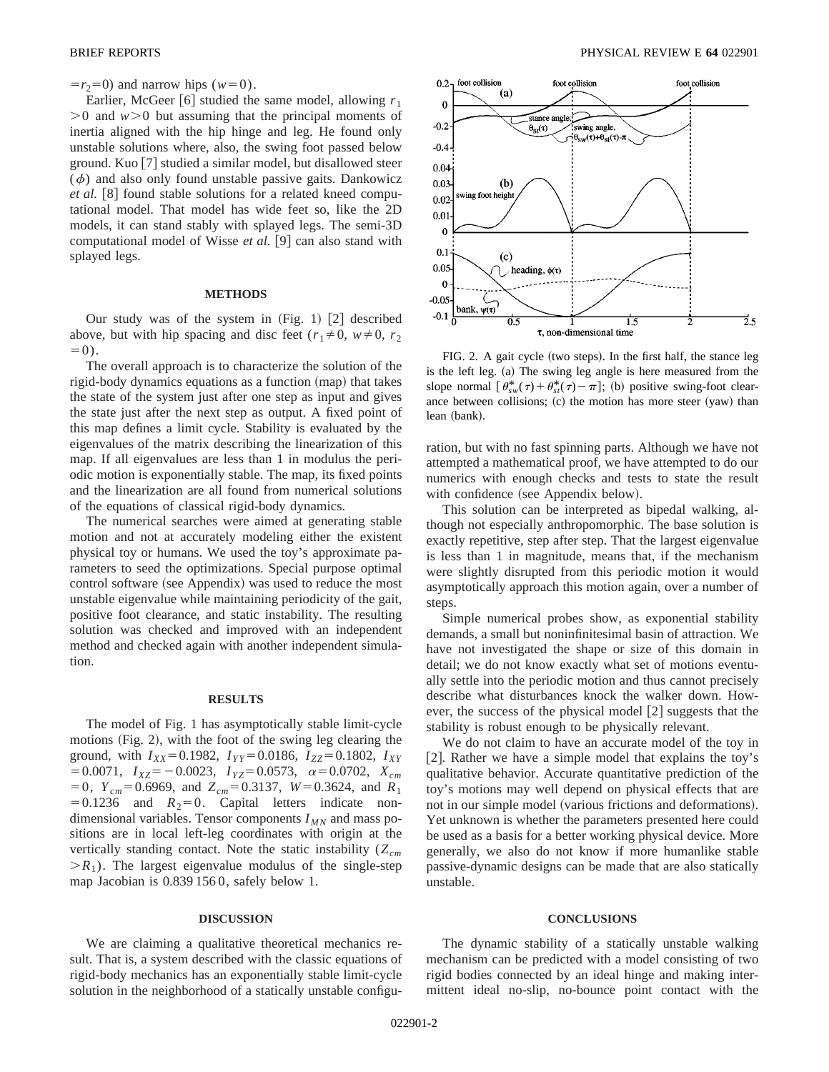$=r_2=0$ ) and narrow hips ( $w=0$ ).

Earlier, McGeer [6] studied the same model, allowing  $r_1$  $>0$  and  $w>0$  but assuming that the principal moments of inertia aligned with the hip hinge and leg. He found only unstable solutions where, also, the swing foot passed below ground. Kuo  $[7]$  studied a similar model, but disallowed steer  $(\phi)$  and also only found unstable passive gaits. Dankowicz *et al.* [8] found stable solutions for a related kneed computational model. That model has wide feet so, like the 2D models, it can stand stably with splayed legs. The semi-3D computational model of Wisse *et al.* [9] can also stand with splayed legs.

### **METHODS**

Our study was of the system in  $(Fig. 1)$   $[2]$  described above, but with hip spacing and disc feet ( $r_1 \neq 0$ ,  $w \neq 0$ ,  $r_2$ )  $=0$ ).

The overall approach is to characterize the solution of the rigid-body dynamics equations as a function (map) that takes the state of the system just after one step as input and gives the state just after the next step as output. A fixed point of this map defines a limit cycle. Stability is evaluated by the eigenvalues of the matrix describing the linearization of this map. If all eigenvalues are less than 1 in modulus the periodic motion is exponentially stable. The map, its fixed points and the linearization are all found from numerical solutions of the equations of classical rigid-body dynamics.

The numerical searches were aimed at generating stable motion and not at accurately modeling either the existent physical toy or humans. We used the toy's approximate parameters to seed the optimizations. Special purpose optimal control software (see Appendix) was used to reduce the most unstable eigenvalue while maintaining periodicity of the gait, positive foot clearance, and static instability. The resulting solution was checked and improved with an independent method and checked again with another independent simulation.

#### **RESULTS**

The model of Fig. 1 has asymptotically stable limit-cycle motions  $(Fig. 2)$ , with the foot of the swing leg clearing the ground, with  $I_{XX}$ =0.1982,  $I_{YY}$ =0.0186,  $I_{ZZ}$ =0.1802,  $I_{XY}$  $=0.0071$ ,  $I_{XZ}=-0.0023$ ,  $I_{YZ}=0.0573$ ,  $\alpha=0.0702$ ,  $X_{cm}$  $= 0$ ,  $Y_{cm} = 0.6969$ , and  $Z_{cm} = 0.3137$ ,  $W = 0.3624$ , and  $R_1$  $=0.1236$  and  $R_2=0$ . Capital letters indicate nondimensional variables. Tensor components  $I_{MN}$  and mass positions are in local left-leg coordinates with origin at the vertically standing contact. Note the static instability ( $Z_{cm}$ )  $>R_1$ ). The largest eigenvalue modulus of the single-step map Jacobian is 0.839 156 0, safely below 1.

#### **DISCUSSION**

We are claiming a qualitative theoretical mechanics result. That is, a system described with the classic equations of rigid-body mechanics has an exponentially stable limit-cycle solution in the neighborhood of a statically unstable configu-



FIG. 2. A gait cycle (two steps). In the first half, the stance leg is the left leg. (a) The swing leg angle is here measured from the slope normal  $\left[\theta_{sw}^*(\tau) + \theta_{st}^*(\tau) - \pi\right]$ ; (b) positive swing-foot clearance between collisions; (c) the motion has more steer (yaw) than lean (bank).

ration, but with no fast spinning parts. Although we have not attempted a mathematical proof, we have attempted to do our numerics with enough checks and tests to state the result with confidence (see Appendix below).

This solution can be interpreted as bipedal walking, although not especially anthropomorphic. The base solution is exactly repetitive, step after step. That the largest eigenvalue is less than 1 in magnitude, means that, if the mechanism were slightly disrupted from this periodic motion it would asymptotically approach this motion again, over a number of steps.

Simple numerical probes show, as exponential stability demands, a small but noninfinitesimal basin of attraction. We have not investigated the shape or size of this domain in detail; we do not know exactly what set of motions eventually settle into the periodic motion and thus cannot precisely describe what disturbances knock the walker down. However, the success of the physical model  $\lceil 2 \rceil$  suggests that the stability is robust enough to be physically relevant.

We do not claim to have an accurate model of the toy in [2]. Rather we have a simple model that explains the toy's qualitative behavior. Accurate quantitative prediction of the toy's motions may well depend on physical effects that are not in our simple model (various frictions and deformations). Yet unknown is whether the parameters presented here could be used as a basis for a better working physical device. More generally, we also do not know if more humanlike stable passive-dynamic designs can be made that are also statically unstable.

### **CONCLUSIONS**

The dynamic stability of a statically unstable walking mechanism can be predicted with a model consisting of two rigid bodies connected by an ideal hinge and making intermittent ideal no-slip, no-bounce point contact with the